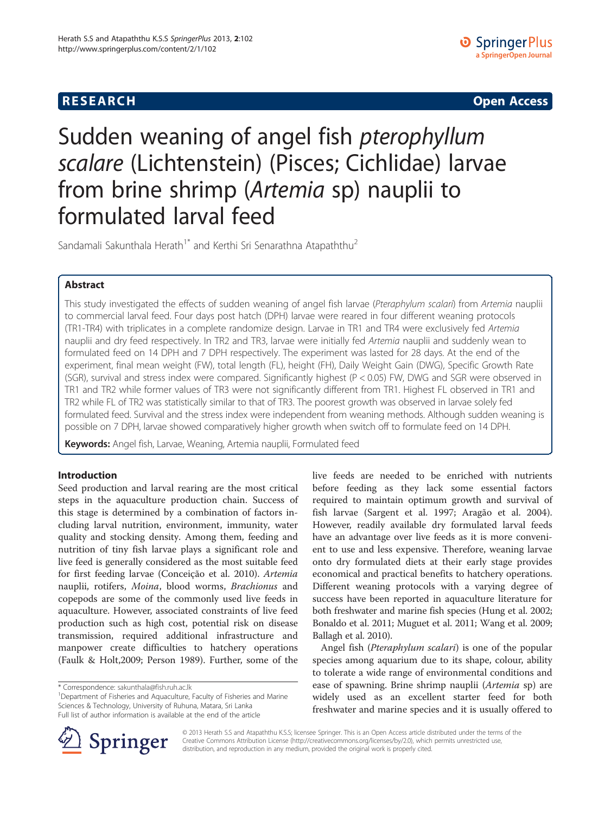## **RESEARCH RESEARCH CONSUMING ACCESS**

# Sudden weaning of angel fish pterophyllum scalare (Lichtenstein) (Pisces; Cichlidae) larvae from brine shrimp (Artemia sp) nauplii to formulated larval feed

Sandamali Sakunthala Herath<sup>1\*</sup> and Kerthi Sri Senarathna Atapaththu<sup>2</sup>

## Abstract

This study investigated the effects of sudden weaning of angel fish larvae (Pteraphylum scalari) from Artemia nauplii to commercial larval feed. Four days post hatch (DPH) larvae were reared in four different weaning protocols (TR1-TR4) with triplicates in a complete randomize design. Larvae in TR1 and TR4 were exclusively fed Artemia nauplii and dry feed respectively. In TR2 and TR3, larvae were initially fed Artemia nauplii and suddenly wean to formulated feed on 14 DPH and 7 DPH respectively. The experiment was lasted for 28 days. At the end of the experiment, final mean weight (FW), total length (FL), height (FH), Daily Weight Gain (DWG), Specific Growth Rate (SGR), survival and stress index were compared. Significantly highest (P < 0.05) FW, DWG and SGR were observed in TR1 and TR2 while former values of TR3 were not significantly different from TR1. Highest FL observed in TR1 and TR2 while FL of TR2 was statistically similar to that of TR3. The poorest growth was observed in larvae solely fed formulated feed. Survival and the stress index were independent from weaning methods. Although sudden weaning is possible on 7 DPH, larvae showed comparatively higher growth when switch off to formulate feed on 14 DPH.

Keywords: Angel fish, Larvae, Weaning, Artemia nauplii, Formulated feed

## Introduction

Seed production and larval rearing are the most critical steps in the aquaculture production chain. Success of this stage is determined by a combination of factors including larval nutrition, environment, immunity, water quality and stocking density. Among them, feeding and nutrition of tiny fish larvae plays a significant role and live feed is generally considered as the most suitable feed for first feeding larvae (Conceição et al. [2010\)](#page-5-0). Artemia nauplii, rotifers, Moina, blood worms, Brachionus and copepods are some of the commonly used live feeds in aquaculture. However, associated constraints of live feed production such as high cost, potential risk on disease transmission, required additional infrastructure and manpower create difficulties to hatchery operations (Faulk & Holt,[2009](#page-5-0); Person [1989\)](#page-6-0). Further, some of the

<sup>1</sup>Department of Fisheries and Aquaculture, Faculty of Fisheries and Marine Sciences & Technology, University of Ruhuna, Matara, Sri Lanka Full list of author information is available at the end of the article

live feeds are needed to be enriched with nutrients before feeding as they lack some essential factors required to maintain optimum growth and survival of fish larvae (Sargent et al. [1997;](#page-6-0) Aragão et al. [2004](#page-5-0)). However, readily available dry formulated larval feeds have an advantage over live feeds as it is more convenient to use and less expensive. Therefore, weaning larvae onto dry formulated diets at their early stage provides economical and practical benefits to hatchery operations. Different weaning protocols with a varying degree of success have been reported in aquaculture literature for both freshwater and marine fish species (Hung et al. [2002](#page-5-0); Bonaldo et al. [2011](#page-5-0); Muguet et al. [2011;](#page-6-0) Wang et al. [2009](#page-6-0); Ballagh et al. [2010](#page-5-0)).

Angel fish (Pteraphylum scalari) is one of the popular species among aquarium due to its shape, colour, ability to tolerate a wide range of environmental conditions and ease of spawning. Brine shrimp nauplii (Artemia sp) are widely used as an excellent starter feed for both freshwater and marine species and it is usually offered to



© 2013 Herath S.S and Atapaththu K.S.S; licensee Springer. This is an Open Access article distributed under the terms of the Creative Commons Attribution License [\(http://creativecommons.org/licenses/by/2.0\)](http://creativecommons.org/licenses/by/2.0), which permits unrestricted use, distribution, and reproduction in any medium, provided the original work is properly cited.

<sup>\*</sup> Correspondence: [sakunthala@fish.ruh.ac.lk](mailto:sakunthala@fish.ruh.ac.lk) <sup>1</sup>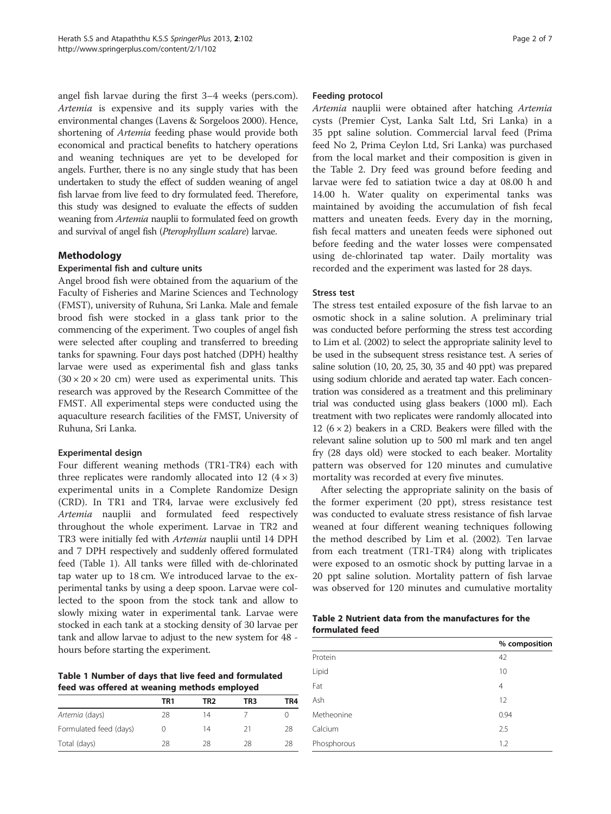angel fish larvae during the first 3–4 weeks (pers.com). Artemia is expensive and its supply varies with the environmental changes (Lavens & Sorgeloos [2000](#page-6-0)). Hence, shortening of Artemia feeding phase would provide both economical and practical benefits to hatchery operations and weaning techniques are yet to be developed for angels. Further, there is no any single study that has been undertaken to study the effect of sudden weaning of angel fish larvae from live feed to dry formulated feed. Therefore, this study was designed to evaluate the effects of sudden weaning from Artemia nauplii to formulated feed on growth and survival of angel fish (Pterophyllum scalare) larvae.

## Methodology

#### Experimental fish and culture units

Angel brood fish were obtained from the aquarium of the Faculty of Fisheries and Marine Sciences and Technology (FMST), university of Ruhuna, Sri Lanka. Male and female brood fish were stocked in a glass tank prior to the commencing of the experiment. Two couples of angel fish were selected after coupling and transferred to breeding tanks for spawning. Four days post hatched (DPH) healthy larvae were used as experimental fish and glass tanks  $(30 \times 20 \times 20$  cm) were used as experimental units. This research was approved by the Research Committee of the FMST. All experimental steps were conducted using the aquaculture research facilities of the FMST, University of Ruhuna, Sri Lanka.

## Experimental design

Four different weaning methods (TR1-TR4) each with three replicates were randomly allocated into 12  $(4 \times 3)$ experimental units in a Complete Randomize Design (CRD). In TR1 and TR4, larvae were exclusively fed Artemia nauplii and formulated feed respectively throughout the whole experiment. Larvae in TR2 and TR3 were initially fed with Artemia nauplii until 14 DPH and 7 DPH respectively and suddenly offered formulated feed (Table 1). All tanks were filled with de-chlorinated tap water up to 18 cm. We introduced larvae to the experimental tanks by using a deep spoon. Larvae were collected to the spoon from the stock tank and allow to slowly mixing water in experimental tank. Larvae were stocked in each tank at a stocking density of 30 larvae per tank and allow larvae to adjust to the new system for 48 hours before starting the experiment.

Table 1 Number of days that live feed and formulated feed was offered at weaning methods employed

|                        | TR1 | TR2 | TR3 | TR4 |
|------------------------|-----|-----|-----|-----|
| Artemia (days)         | 28  | 14  |     |     |
| Formulated feed (days) |     | 14  | 21  | 28  |
| Total (days)           | 28  | 28  | 28  | 28  |

#### Feeding protocol

Artemia nauplii were obtained after hatching Artemia cysts (Premier Cyst, Lanka Salt Ltd, Sri Lanka) in a 35 ppt saline solution. Commercial larval feed (Prima feed No 2, Prima Ceylon Ltd, Sri Lanka) was purchased from the local market and their composition is given in the Table 2. Dry feed was ground before feeding and larvae were fed to satiation twice a day at 08.00 h and 14.00 h. Water quality on experimental tanks was maintained by avoiding the accumulation of fish fecal matters and uneaten feeds. Every day in the morning, fish fecal matters and uneaten feeds were siphoned out before feeding and the water losses were compensated using de-chlorinated tap water. Daily mortality was recorded and the experiment was lasted for 28 days.

#### Stress test

The stress test entailed exposure of the fish larvae to an osmotic shock in a saline solution. A preliminary trial was conducted before performing the stress test according to Lim et al. [\(2002\)](#page-6-0) to select the appropriate salinity level to be used in the subsequent stress resistance test. A series of saline solution (10, 20, 25, 30, 35 and 40 ppt) was prepared using sodium chloride and aerated tap water. Each concentration was considered as a treatment and this preliminary trial was conducted using glass beakers (1000 ml). Each treatment with two replicates were randomly allocated into 12 ( $6 \times 2$ ) beakers in a CRD. Beakers were filled with the relevant saline solution up to 500 ml mark and ten angel fry (28 days old) were stocked to each beaker. Mortality pattern was observed for 120 minutes and cumulative mortality was recorded at every five minutes.

After selecting the appropriate salinity on the basis of the former experiment (20 ppt), stress resistance test was conducted to evaluate stress resistance of fish larvae weaned at four different weaning techniques following the method described by Lim et al. [\(2002\)](#page-6-0). Ten larvae from each treatment (TR1-TR4) along with triplicates were exposed to an osmotic shock by putting larvae in a 20 ppt saline solution. Mortality pattern of fish larvae was observed for 120 minutes and cumulative mortality

| Table 2 Nutrient data from the manufactures for the |  |  |
|-----------------------------------------------------|--|--|
| formulated feed                                     |  |  |

|             | % composition  |
|-------------|----------------|
| Protein     | 42             |
| Lipid       | 10             |
| Fat         | $\overline{4}$ |
| Ash         | 12             |
| Metheonine  | 0.94           |
| Calcium     | 2.5            |
| Phosphorous | 1.2            |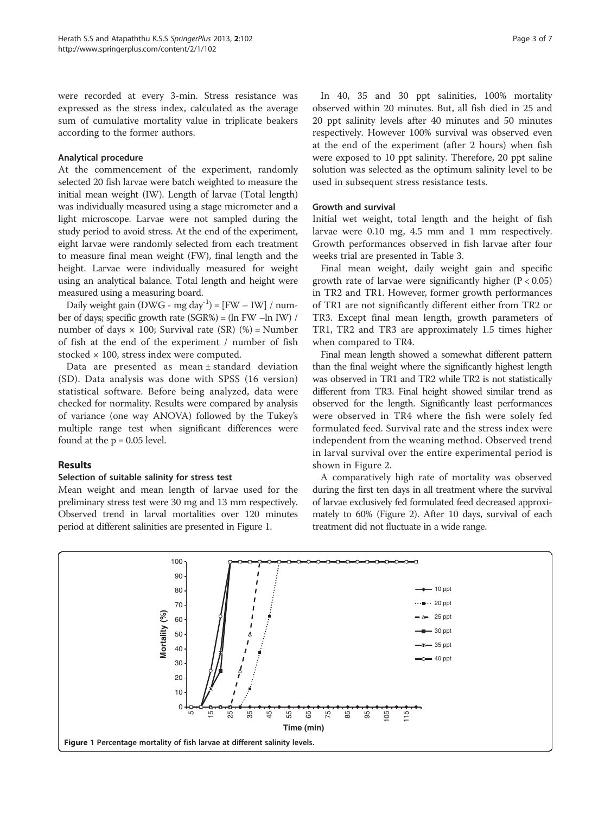were recorded at every 3-min. Stress resistance was expressed as the stress index, calculated as the average sum of cumulative mortality value in triplicate beakers according to the former authors.

#### Analytical procedure

At the commencement of the experiment, randomly selected 20 fish larvae were batch weighted to measure the initial mean weight (IW). Length of larvae (Total length) was individually measured using a stage micrometer and a light microscope. Larvae were not sampled during the study period to avoid stress. At the end of the experiment, eight larvae were randomly selected from each treatment to measure final mean weight (FW), final length and the height. Larvae were individually measured for weight using an analytical balance. Total length and height were measured using a measuring board.

Daily weight gain (DWG - mg day<sup>-1</sup>) = [FW – IW] / number of days; specific growth rate (SGR%) = (ln FW –ln IW) / number of days  $\times$  100; Survival rate (SR) (%) = Number of fish at the end of the experiment / number of fish stocked  $\times$  100, stress index were computed.

Data are presented as mean ± standard deviation (SD). Data analysis was done with SPSS (16 version) statistical software. Before being analyzed, data were checked for normality. Results were compared by analysis of variance (one way ANOVA) followed by the Tukey's multiple range test when significant differences were found at the  $p = 0.05$  level.

## Results

## Selection of suitable salinity for stress test

Mean weight and mean length of larvae used for the preliminary stress test were 30 mg and 13 mm respectively. Observed trend in larval mortalities over 120 minutes period at different salinities are presented in Figure 1.

In 40, 35 and 30 ppt salinities, 100% mortality observed within 20 minutes. But, all fish died in 25 and 20 ppt salinity levels after 40 minutes and 50 minutes respectively. However 100% survival was observed even at the end of the experiment (after 2 hours) when fish were exposed to 10 ppt salinity. Therefore, 20 ppt saline solution was selected as the optimum salinity level to be used in subsequent stress resistance tests.

## Growth and survival

Initial wet weight, total length and the height of fish larvae were 0.10 mg, 4.5 mm and 1 mm respectively. Growth performances observed in fish larvae after four weeks trial are presented in Table [3](#page-3-0).

Final mean weight, daily weight gain and specific growth rate of larvae were significantly higher  $(P < 0.05)$ in TR2 and TR1. However, former growth performances of TR1 are not significantly different either from TR2 or TR3. Except final mean length, growth parameters of TR1, TR2 and TR3 are approximately 1.5 times higher when compared to TR4.

Final mean length showed a somewhat different pattern than the final weight where the significantly highest length was observed in TR1 and TR2 while TR2 is not statistically different from TR3. Final height showed similar trend as observed for the length. Significantly least performances were observed in TR4 where the fish were solely fed formulated feed. Survival rate and the stress index were independent from the weaning method. Observed trend in larval survival over the entire experimental period is shown in Figure [2.](#page-3-0)

A comparatively high rate of mortality was observed during the first ten days in all treatment where the survival of larvae exclusively fed formulated feed decreased approximately to 60% (Figure [2\)](#page-3-0). After 10 days, survival of each treatment did not fluctuate in a wide range.

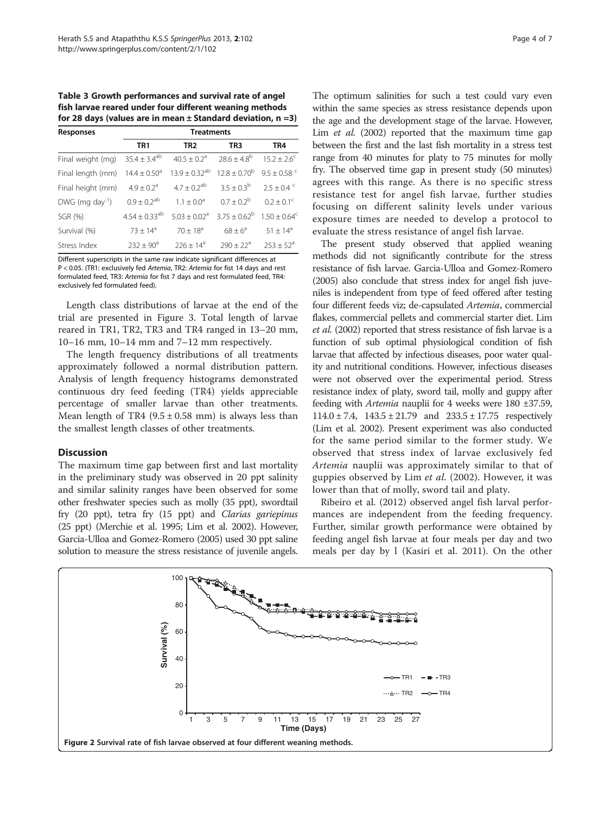<span id="page-3-0"></span>Table 3 Growth performances and survival rate of angel fish larvae reared under four different weaning methods for 28 days (values are in mean  $\pm$  Standard deviation, n =3)

| Responses                   |                         | <b>Treatments</b>            |                                          |                           |
|-----------------------------|-------------------------|------------------------------|------------------------------------------|---------------------------|
|                             | TR <sub>1</sub>         | TR <sub>2</sub>              | TR <sub>3</sub>                          | TR4                       |
| Final weight (mg)           | $35.4 \pm 3.4^{ab}$     | $40.5 \pm 0.2$ <sup>a</sup>  | $28.6 \pm 4.8^{b}$                       | $15.2 \pm 2.6^c$          |
| Final length (mm)           | $14.4 \pm 0.50^{\circ}$ | $13.9 + 0.32^{ab}$           | $12.8 + 0.70^b$                          | $9.5 + 0.58$ <sup>c</sup> |
| Final height (mm)           | $4.9 + 0.2a$            | $4.7 \pm 0.2^{ab}$           | $3.5 \pm 0.3^{\rm b}$                    | $2.5 + 0.4$ <sup>c</sup>  |
| DWG (mg day <sup>-1</sup> ) | $0.9 \pm 0.2^{ab}$      | $1.1 + 0.0^a$                | $0.7 \pm 0.2^{\rm b}$                    | $0.2 + 0.1^{\circ}$       |
| SGR (%)                     | $4.54 \pm 0.33^{ab}$    | $5.03 \pm 0.02$ <sup>a</sup> | $3.75 + 0.62^b$ 1.50 + 0.64 <sup>c</sup> |                           |
| Survival (%)                | $73 \pm 14^a$           | $70 + 18^a$                  | $68 + 6^a$                               | $51 \pm 14^a$             |
| Stress Index                | $232 + 90^a$            | $226 + 14^a$                 | $790 + 22a$                              | $253 \pm 52^{\circ}$      |

Different superscripts in the same raw indicate significant differences at P < 0.05. (TR1: exclusively fed Artemia, TR2: Artemia for fist 14 days and rest formulated feed, TR3: Artemia for fist 7 days and rest formulated feed, TR4: exclusively fed formulated feed).

Length class distributions of larvae at the end of the trial are presented in Figure [3.](#page-4-0) Total length of larvae reared in TR1, TR2, TR3 and TR4 ranged in 13–20 mm, 10–16 mm, 10–14 mm and 7–12 mm respectively.

The length frequency distributions of all treatments approximately followed a normal distribution pattern. Analysis of length frequency histograms demonstrated continuous dry feed feeding (TR4) yields appreciable percentage of smaller larvae than other treatments. Mean length of TR4  $(9.5 \pm 0.58 \text{ mm})$  is always less than the smallest length classes of other treatments.

#### **Discussion**

The maximum time gap between first and last mortality in the preliminary study was observed in 20 ppt salinity and similar salinity ranges have been observed for some other freshwater species such as molly (35 ppt), swordtail fry (20 ppt), tetra fry (15 ppt) and Clarias gariepinus (25 ppt) (Merchie et al. [1995;](#page-6-0) Lim et al. [2002\)](#page-6-0). However, Garcia-Ulloa and Gomez-Romero [\(2005\)](#page-5-0) used 30 ppt saline solution to measure the stress resistance of juvenile angels.

The optimum salinities for such a test could vary even within the same species as stress resistance depends upon the age and the development stage of the larvae. However, Lim *et al.* ([2002](#page-6-0)) reported that the maximum time gap between the first and the last fish mortality in a stress test range from 40 minutes for platy to 75 minutes for molly fry. The observed time gap in present study (50 minutes) agrees with this range. As there is no specific stress resistance test for angel fish larvae, further studies focusing on different salinity levels under various exposure times are needed to develop a protocol to evaluate the stress resistance of angel fish larvae.

The present study observed that applied weaning methods did not significantly contribute for the stress resistance of fish larvae. Garcia-Ulloa and Gomez-Romero ([2005\)](#page-5-0) also conclude that stress index for angel fish juveniles is independent from type of feed offered after testing four different feeds viz; de-capsulated Artemia, commercial flakes, commercial pellets and commercial starter diet. Lim et al. ([2002](#page-6-0)) reported that stress resistance of fish larvae is a function of sub optimal physiological condition of fish larvae that affected by infectious diseases, poor water quality and nutritional conditions. However, infectious diseases were not observed over the experimental period. Stress resistance index of platy, sword tail, molly and guppy after feeding with Artemia nauplii for 4 weeks were 180 ±37.59,  $114.0 \pm 7.4$ ,  $143.5 \pm 21.79$  and  $233.5 \pm 17.75$  respectively (Lim et al. [2002\)](#page-6-0). Present experiment was also conducted for the same period similar to the former study. We observed that stress index of larvae exclusively fed Artemia nauplii was approximately similar to that of guppies observed by Lim et al. ([2002\)](#page-6-0). However, it was lower than that of molly, sword tail and platy.

Ribeiro et al. [\(2012](#page-6-0)) observed angel fish larval performances are independent from the feeding frequency. Further, similar growth performance were obtained by feeding angel fish larvae at four meals per day and two meals per day by l (Kasiri et al. [2011\)](#page-5-0). On the other

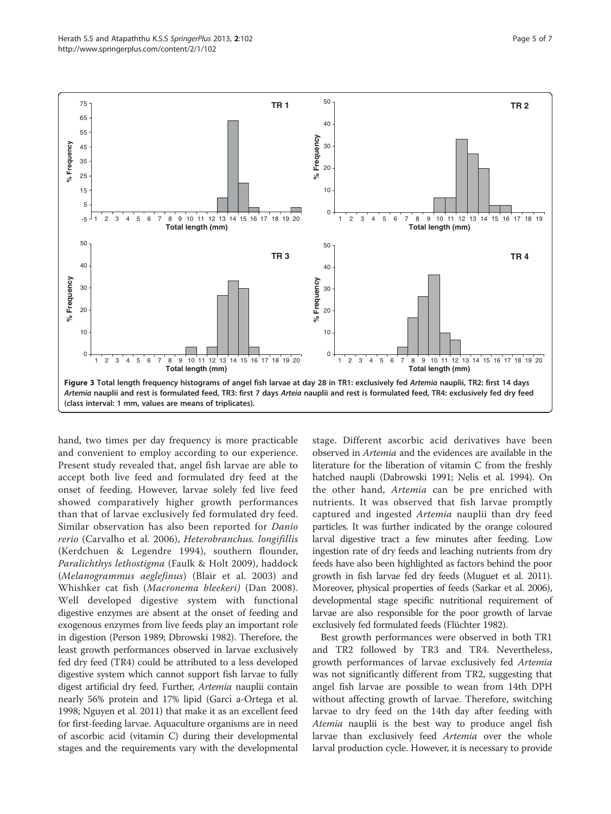<span id="page-4-0"></span>

hand, two times per day frequency is more practicable and convenient to employ according to our experience. Present study revealed that, angel fish larvae are able to accept both live feed and formulated dry feed at the onset of feeding. However, larvae solely fed live feed showed comparatively higher growth performances than that of larvae exclusively fed formulated dry feed. Similar observation has also been reported for Danio rerio (Carvalho et al. [2006](#page-5-0)), Heterobranchus. longifillis (Kerdchuen & Legendre [1994](#page-6-0)), southern flounder, Paralichthys lethostigma (Faulk & Holt [2009](#page-5-0)), haddock (Melanogrammus aeglefinus) (Blair et al. [2003](#page-5-0)) and Whishker cat fish (Macronema bleekeri) (Dan [2008](#page-5-0)). Well developed digestive system with functional digestive enzymes are absent at the onset of feeding and exogenous enzymes from live feeds play an important role in digestion (Person [1989](#page-6-0); Dbrowski [1982](#page-5-0)). Therefore, the least growth performances observed in larvae exclusively fed dry feed (TR4) could be attributed to a less developed digestive system which cannot support fish larvae to fully digest artificial dry feed. Further, Artemia nauplii contain nearly 56% protein and 17% lipid (Garcí a-Ortega et al. [1998;](#page-5-0) Nguyen et al. [2011\)](#page-6-0) that make it as an excellent feed for first-feeding larvae. Aquaculture organisms are in need of ascorbic acid (vitamin C) during their developmental stages and the requirements vary with the developmental stage. Different ascorbic acid derivatives have been observed in Artemia and the evidences are available in the literature for the liberation of vitamin C from the freshly hatched naupli (Dabrowski [1991;](#page-5-0) Nelis et al. [1994\)](#page-6-0). On the other hand, Artemia can be pre enriched with nutrients. It was observed that fish larvae promptly captured and ingested Artemia nauplii than dry feed particles. It was further indicated by the orange coloured larval digestive tract a few minutes after feeding. Low ingestion rate of dry feeds and leaching nutrients from dry feeds have also been highlighted as factors behind the poor growth in fish larvae fed dry feeds (Muguet et al. [2011](#page-6-0)). Moreover, physical properties of feeds (Sarkar et al. [2006](#page-6-0)), developmental stage specific nutritional requirement of larvae are also responsible for the poor growth of larvae exclusively fed formulated feeds (Flüchter [1982](#page-5-0)).

Best growth performances were observed in both TR1 and TR2 followed by TR3 and TR4. Nevertheless, growth performances of larvae exclusively fed Artemia was not significantly different from TR2, suggesting that angel fish larvae are possible to wean from 14th DPH without affecting growth of larvae. Therefore, switching larvae to dry feed on the 14th day after feeding with Atemia nauplii is the best way to produce angel fish larvae than exclusively feed Artemia over the whole larval production cycle. However, it is necessary to provide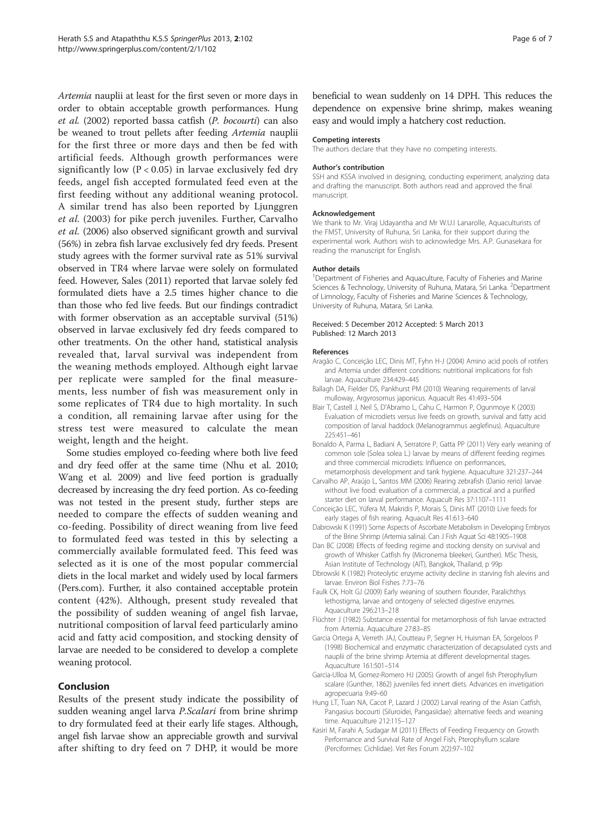<span id="page-5-0"></span>Artemia nauplii at least for the first seven or more days in order to obtain acceptable growth performances. Hung et al. (2002) reported bassa catfish (P. bocourti) can also be weaned to trout pellets after feeding Artemia nauplii for the first three or more days and then be fed with artificial feeds. Although growth performances were significantly low ( $P < 0.05$ ) in larvae exclusively fed dry feeds, angel fish accepted formulated feed even at the first feeding without any additional weaning protocol. A similar trend has also been reported by Ljunggren et al. [\(2003\)](#page-6-0) for pike perch juveniles. Further, Carvalho et al. (2006) also observed significant growth and survival (56%) in zebra fish larvae exclusively fed dry feeds. Present study agrees with the former survival rate as 51% survival observed in TR4 where larvae were solely on formulated feed. However, Sales ([2011\)](#page-6-0) reported that larvae solely fed formulated diets have a 2.5 times higher chance to die than those who fed live feeds. But our findings contradict with former observation as an acceptable survival (51%) observed in larvae exclusively fed dry feeds compared to other treatments. On the other hand, statistical analysis revealed that, larval survival was independent from the weaning methods employed. Although eight larvae per replicate were sampled for the final measurements, less number of fish was measurement only in some replicates of TR4 due to high mortality. In such a condition, all remaining larvae after using for the stress test were measured to calculate the mean weight, length and the height.

Some studies employed co-feeding where both live feed and dry feed offer at the same time (Nhu et al. [2010](#page-6-0); Wang et al. [2009](#page-6-0)) and live feed portion is gradually decreased by increasing the dry feed portion. As co-feeding was not tested in the present study, further steps are needed to compare the effects of sudden weaning and co-feeding. Possibility of direct weaning from live feed to formulated feed was tested in this by selecting a commercially available formulated feed. This feed was selected as it is one of the most popular commercial diets in the local market and widely used by local farmers (Pers.com). Further, it also contained acceptable protein content (42%). Although, present study revealed that the possibility of sudden weaning of angel fish larvae, nutritional composition of larval feed particularly amino acid and fatty acid composition, and stocking density of larvae are needed to be considered to develop a complete weaning protocol.

## Conclusion

Results of the present study indicate the possibility of sudden weaning angel larva *P.Scalari* from brine shrimp to dry formulated feed at their early life stages. Although, angel fish larvae show an appreciable growth and survival after shifting to dry feed on 7 DHP, it would be more

beneficial to wean suddenly on 14 DPH. This reduces the dependence on expensive brine shrimp, makes weaning easy and would imply a hatchery cost reduction.

#### Competing interests

The authors declare that they have no competing interests.

#### Author's contribution

SSH and KSSA involved in designing, conducting experiment, analyzing data and drafting the manuscript. Both authors read and approved the final manuscript.

#### Acknowledgement

We thank to Mr. Viraj Udayantha and Mr W.U.I Lanarolle, Aquaculturists of the FMST, University of Ruhuna, Sri Lanka, for their support during the experimental work. Authors wish to acknowledge Mrs. A.P. Gunasekara for reading the manuscript for English.

#### Author details

<sup>1</sup>Department of Fisheries and Aquaculture, Faculty of Fisheries and Marine Sciences & Technology, University of Ruhuna, Matara, Sri Lanka. <sup>2</sup>Department of Limnology, Faculty of Fisheries and Marine Sciences & Technology, University of Ruhuna, Matara, Sri Lanka.

#### Received: 5 December 2012 Accepted: 5 March 2013 Published: 12 March 2013

#### References

- Aragão C, Conceição LEC, Dinis MT, Fyhn H-J (2004) Amino acid pools of rotifers and Artemia under different conditions: nutritional implications for fish larvae. Aquaculture 234:429–445
- Ballagh DA, Fielder DS, Pankhurst PM (2010) Weaning requirements of larval mulloway, Argyrosomus japonicus. Aquacult Res 41:493–504
- Blair T, Castell J, Neil S, D'Abramo L, Cahu C, Harmon P, Ogunmoye K (2003) Evaluation of microdiets versus live feeds on growth, survival and fatty acid composition of larval haddock (Melanogrammus aeglefinus). Aquaculture 225:451–461
- Bonaldo A, Parma L, Badiani A, Serratore P, Gatta PP (2011) Very early weaning of common sole (Solea solea L.) larvae by means of different feeding regimes and three commercial microdiets: Influence on performances,
- metamorphosis development and tank hygiene. Aquaculture 321:237–244 Carvalho AP, Araújo L, Santos MM (2006) Rearing zebrafish (Danio rerio) larvae without live food: evaluation of a commercial, a practical and a purified starter diet on larval performance. Aquacult Res 37:1107–1111
- Conceição LEC, Yúfera M, Makridis P, Morais S, Dinis MT (2010) Live feeds for early stages of fish rearing. Aquacult Res 41:613–640
- Dabrowski K (1991) Some Aspects of Ascorbate Metabolism in Developing Embryos of the Brine Shrimp (Artemia salina). Can J Fish Aquat Sci 48:1905–1908
- Dan BC (2008) Effects of feeding regime and stocking density on survival and growth of Whisker Catfish fry (Micronema bleekeri, Gunther). MSc Thesis, Asian Institute of Technology (AIT), Bangkok, Thailand, p 99p
- Dbrowski K (1982) Proteolytic enzyme activity decline in starving fish alevins and larvae. Environ Biol Fishes 7:73–76
- Faulk CK, Holt GJ (2009) Early weaning of southern flounder, Paralichthys lethostigma, larvae and ontogeny of selected digestive enzymes. Aquaculture 296:213–218
- Flüchter J (1982) Substance essential for metamorphosis of fish larvae extracted from Artemia. Aquaculture 27:83–85
- Garcia Ortega A, Verreth JAJ, Coutteau P, Segner H, Huisman EA, Sorgeloos P (1998) Biochemical and enzymatic characterization of decapsulated cysts and nauplii of the brine shrimp Artemia at different developmental stages. Aquaculture 161:501–514
- Garcia-Ulloa M, Gomez-Romero HJ (2005) Growth of angel fish Pterophyllum scalare (Gunther, 1862) juveniles fed innert diets. Advances en invetigation agropecuaria 9:49–60
- Hung LT, Tuan NA, Cacot P, Lazard J (2002) Larval rearing of the Asian Catfish, Pangasius bocourti (Siluroidei, Pangasiidae): alternative feeds and weaning time. Aquaculture 212:115–127
- Kasiri M, Farahi A, Sudagar M (2011) Effects of Feeding Frequency on Growth Performance and Survival Rate of Angel Fish, Pterophyllum scalare (Perciformes: Cichlidae). Vet Res Forum 2(2):97–102